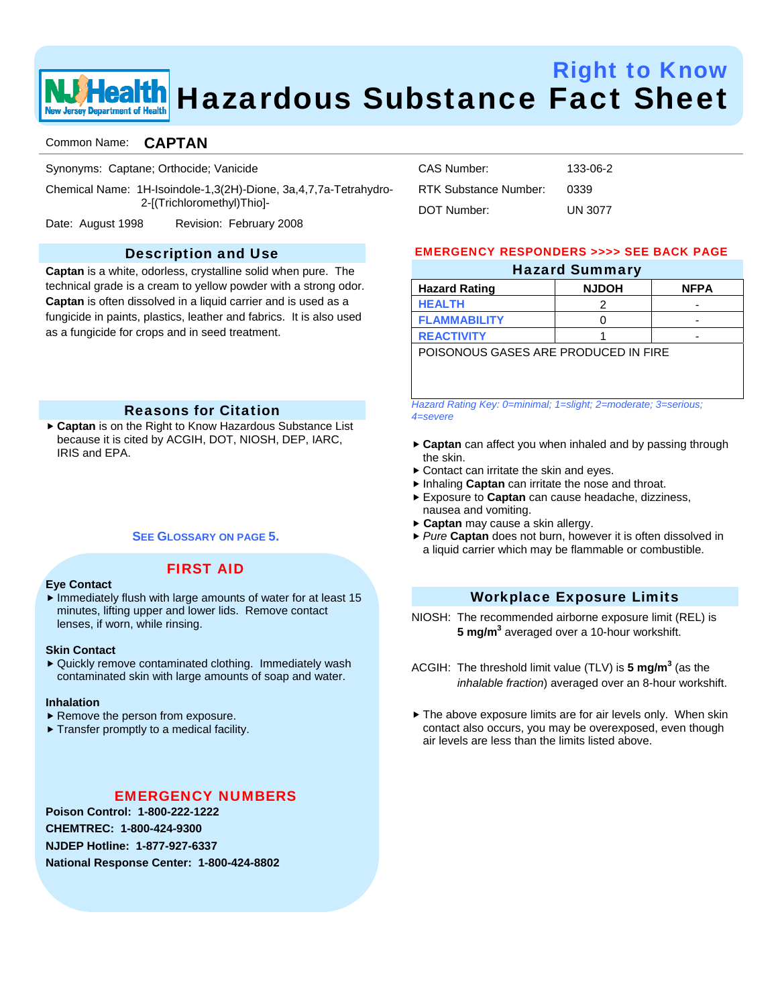

# Right to Know **ealth** Hazardous Substance Fact Sheet

### Common Name: **CAPTAN**

Synonyms: Captane; Orthocide; Vanicide

Chemical Name: 1H-Isoindole-1,3(2H)-Dione, 3a,4,7,7a-Tetrahydro- 2-[(Trichloromethyl)Thio]-

Date: August 1998 Revision: February 2008

## Description and Use

**Captan** is a white, odorless, crystalline solid when pure. The technical grade is a cream to yellow powder with a strong odor. **Captan** is often dissolved in a liquid carrier and is used as a fungicide in paints, plastics, leather and fabrics. It is also used as a fungicide for crops and in seed treatment.

### Reasons for Citation

▶ Captan is on the Right to Know Hazardous Substance List because it is cited by ACGIH, DOT, NIOSH, DEP, IARC, IRIS and EPA.

#### **SEE GLOSSARY ON PAGE 5.**

#### **Eye Contact**

## FIRST AID

 $\blacktriangleright$  Immediately flush with large amounts of water for at least 15 minutes, lifting upper and lower lids. Remove contact lenses, if worn, while rinsing.

#### **Skin Contact**

▶ Quickly remove contaminated clothing. Immediately wash contaminated skin with large amounts of soap and water.

#### **Inhalation**

- $\blacktriangleright$  Remove the person from exposure.
- $\blacktriangleright$  Transfer promptly to a medical facility.

## EMERGENCY NUMBERS

**Poison Control: 1-800-222-1222 CHEMTREC: 1-800-424-9300 NJDEP Hotline: 1-877-927-6337 National Response Center: 1-800-424-8802** 

| CAS Number:           | 133-06-2       |
|-----------------------|----------------|
| RTK Substance Number: | 0339           |
| DOT Number:           | <b>UN 3077</b> |

#### EMERGENCY RESPONDERS >>>> SEE BACK PAGE Hazard Summary

| <b>Hazard Rating</b> | <b>NJDOH</b> | <b>NFPA</b> |  |  |  |
|----------------------|--------------|-------------|--|--|--|
| <b>HEALTH</b>        |              | -           |  |  |  |
| <b>FLAMMABILITY</b>  |              | -           |  |  |  |
| <b>REACTIVITY</b>    |              | -           |  |  |  |
| - - - - - - - - - -  |              |             |  |  |  |

POISONOUS GASES ARE PRODUCED IN FIRE

*Hazard Rating Key: 0=minimal; 1=slight; 2=moderate; 3=serious; 4=severe*

- ► **Captan** can affect you when inhaled and by passing through the skin.
- $\triangleright$  Contact can irritate the skin and eyes.
- **F** Inhaling **Captan** can irritate the nose and throat.
- Exposure to **Captan** can cause headache, dizziness, nausea and vomiting.
- ► Captan may cause a skin allergy.
- ▶ *Pure* Captan does not burn, however it is often dissolved in a liquid carrier which may be flammable or combustible.

## Workplace Exposure Limits

NIOSH: The recommended airborne exposure limit (REL) is **5 mg/m<sup>3</sup> averaged over a 10-hour workshift.** 

- ACGIH: The threshold limit value (TLV) is **5 mg/m3** (as the *inhalable fraction*) averaged over an 8-hour workshift.
- $\blacktriangleright$  The above exposure limits are for air levels only. When skin contact also occurs, you may be overexposed, even though air levels are less than the limits listed above.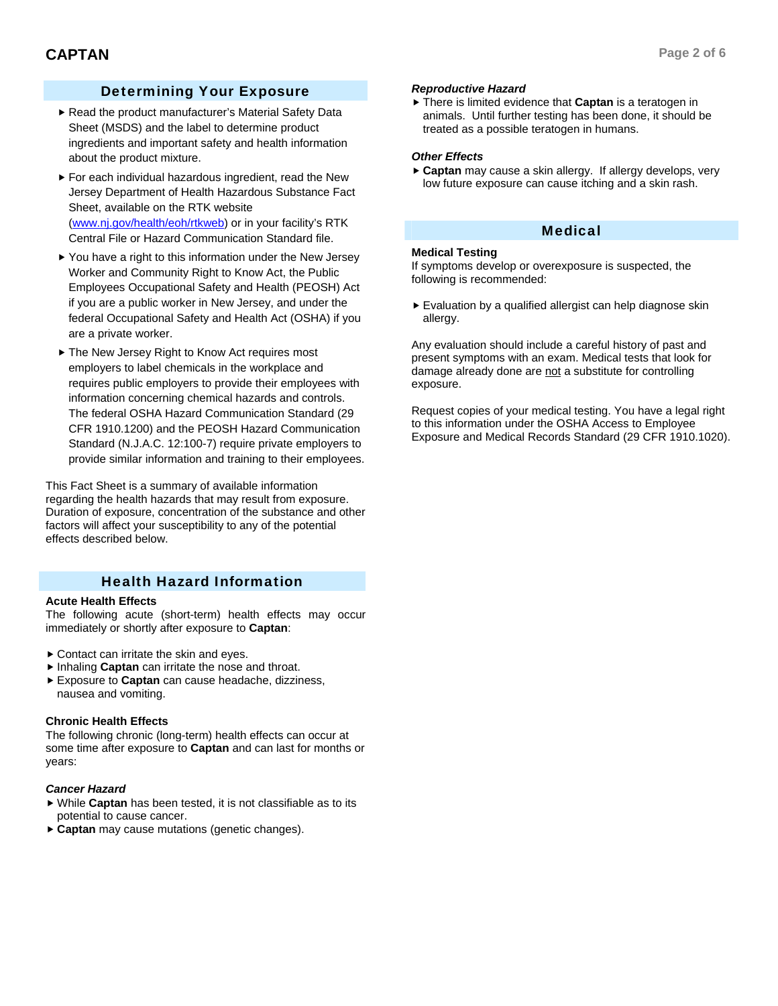## Determining Your Exposure

- Read the product manufacturer's Material Safety Data Sheet (MSDS) and the label to determine product ingredients and important safety and health information about the product mixture.
- $\blacktriangleright$  For each individual hazardous ingredient, read the New Jersey Department of Health Hazardous Substance Fact Sheet, available on the RTK website (www.nj.gov/health/eoh/rtkweb) or in your facility's RTK Central File or Hazard Communication Standard file.
- $\blacktriangleright$  You have a right to this information under the New Jersey Worker and Community Right to Know Act, the Public Employees Occupational Safety and Health (PEOSH) Act if you are a public worker in New Jersey, and under the federal Occupational Safety and Health Act (OSHA) if you are a private worker.
- ▶ The New Jersey Right to Know Act requires most employers to label chemicals in the workplace and requires public employers to provide their employees with information concerning chemical hazards and controls. The federal OSHA Hazard Communication Standard (29 CFR 1910.1200) and the PEOSH Hazard Communication Standard (N.J.A.C. 12:100-7) require private employers to provide similar information and training to their employees.

This Fact Sheet is a summary of available information regarding the health hazards that may result from exposure. Duration of exposure, concentration of the substance and other factors will affect your susceptibility to any of the potential effects described below.

## Health Hazard Information

#### **Acute Health Effects**

The following acute (short-term) health effects may occur immediately or shortly after exposure to **Captan**:

- $\triangleright$  Contact can irritate the skin and eves.
- **F** Inhaling **Captan** can irritate the nose and throat.
- ► Exposure to **Captan** can cause headache, dizziness, nausea and vomiting.

#### **Chronic Health Effects**

The following chronic (long-term) health effects can occur at some time after exposure to **Captan** and can last for months or years:

#### *Cancer Hazard*

- ▶ While **Captan** has been tested, it is not classifiable as to its potential to cause cancer.
- ▶ Captan may cause mutations (genetic changes).

#### *Reproductive Hazard*

**Figure 12** There is limited evidence that **Captan** is a teratogen in animals. Until further testing has been done, it should be treated as a possible teratogen in humans.

#### *Other Effects*

► **Captan** may cause a skin allergy. If allergy develops, very low future exposure can cause itching and a skin rash.

## Medical

#### **Medical Testing**

If symptoms develop or overexposure is suspected, the following is recommended:

 $\blacktriangleright$  Evaluation by a qualified allergist can help diagnose skin allergy.

Any evaluation should include a careful history of past and present symptoms with an exam. Medical tests that look for damage already done are not a substitute for controlling exposure.

Request copies of your medical testing. You have a legal right to this information under the OSHA Access to Employee Exposure and Medical Records Standard (29 CFR 1910.1020).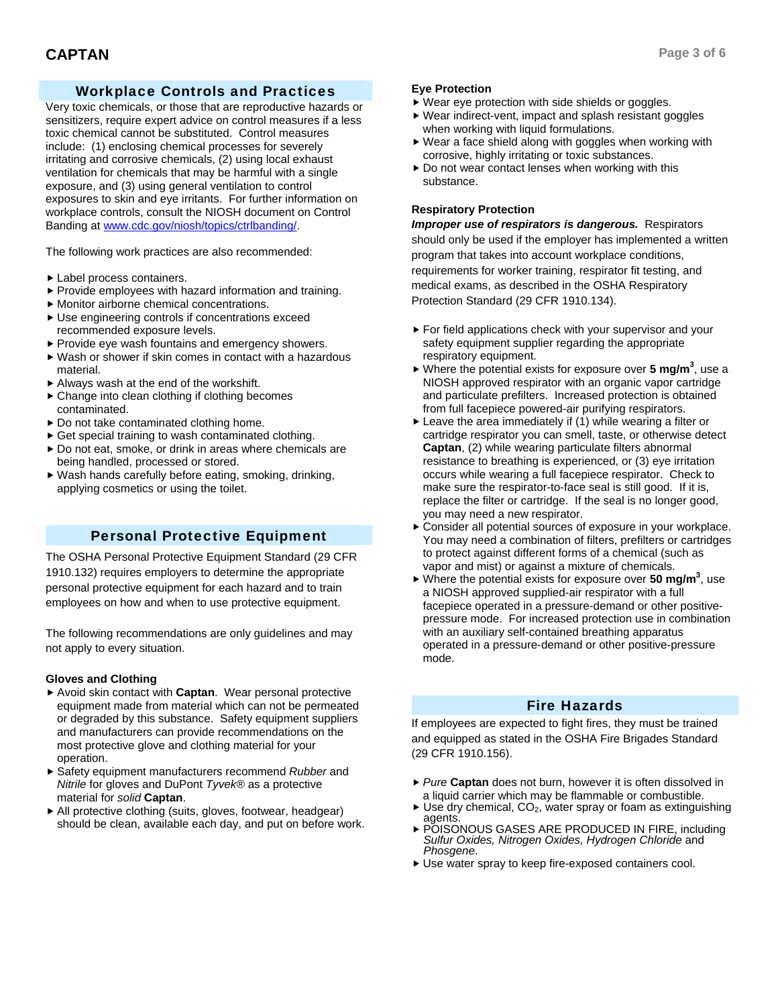## Workplace Controls and Practices

Very toxic chemicals, or those that are reproductive hazards or sensitizers, require expert advice on control measures if a less toxic chemical cannot be substituted. Control measures include: (1) enclosing chemical processes for severely irritating and corrosive chemicals, (2) using local exhaust ventilation for chemicals that may be harmful with a single exposure, and (3) using general ventilation to control exposures to skin and eye irritants. For further information on workplace controls, consult the NIOSH document on Control Banding at www.cdc.gov/niosh/topics/ctrlbanding/.

The following work practices are also recommended:

- $\blacktriangleright$  Label process containers.
- $\blacktriangleright$  Provide employees with hazard information and training.
- $\blacktriangleright$  Monitor airborne chemical concentrations.
- $\blacktriangleright$  Use engineering controls if concentrations exceed recommended exposure levels.
- $\blacktriangleright$  Provide eye wash fountains and emergency showers.
- $\blacktriangleright$  Wash or shower if skin comes in contact with a hazardous material.
- $\blacktriangleright$  Always wash at the end of the workshift.
- $\triangleright$  Change into clean clothing if clothing becomes contaminated.
- $\triangleright$  Do not take contaminated clothing home.
- $\triangleright$  Get special training to wash contaminated clothing.
- $\triangleright$  Do not eat, smoke, or drink in areas where chemicals are being handled, processed or stored.
- $\blacktriangleright$  Wash hands carefully before eating, smoking, drinking, applying cosmetics or using the toilet.

#### Personal Protective Equipment

The OSHA Personal Protective Equipment Standard (29 CFR 1910.132) requires employers to determine the appropriate personal protective equipment for each hazard and to train employees on how and when to use protective equipment.

The following recommendations are only guidelines and may not apply to every situation.

#### **Gloves and Clothing**

- ▶ Avoid skin contact with **Captan**. Wear personal protective equipment made from material which can not be permeated or degraded by this substance. Safety equipment suppliers and manufacturers can provide recommendations on the most protective glove and clothing material for your operation.
- f Safety equipment manufacturers recommend *Rubber* and *Nitrile* for gloves and DuPont *Tyvek®* as a protective material for *solid* **Captan**.
- $\blacktriangleright$  All protective clothing (suits, gloves, footwear, headgear) should be clean, available each day, and put on before work.

#### **Eye Protection**

- $\blacktriangleright$  Wear eye protection with side shields or goggles.
- $\blacktriangleright$  Wear indirect-vent, impact and splash resistant goggles when working with liquid formulations.
- $\blacktriangleright$  Wear a face shield along with goggles when working with corrosive, highly irritating or toxic substances.
- $\triangleright$  Do not wear contact lenses when working with this substance.

#### **Respiratory Protection**

*Improper use of respirators is dangerous.* Respirators should only be used if the employer has implemented a written program that takes into account workplace conditions, requirements for worker training, respirator fit testing, and medical exams, as described in the OSHA Respiratory Protection Standard (29 CFR 1910.134).

- $\blacktriangleright$  For field applications check with your supervisor and your safety equipment supplier regarding the appropriate respiratory equipment.
- $\triangleright$  Where the potential exists for exposure over **5 mg/m<sup>3</sup>**, use a NIOSH approved respirator with an organic vapor cartridge and particulate prefilters. Increased protection is obtained from full facepiece powered-air purifying respirators.
- $\blacktriangleright$  Leave the area immediately if (1) while wearing a filter or cartridge respirator you can smell, taste, or otherwise detect **Captan**, (2) while wearing particulate filters abnormal resistance to breathing is experienced, or (3) eye irritation occurs while wearing a full facepiece respirator. Check to make sure the respirator-to-face seal is still good. If it is, replace the filter or cartridge. If the seal is no longer good, you may need a new respirator.
- $\triangleright$  Consider all potential sources of exposure in your workplace. You may need a combination of filters, prefilters or cartridges to protect against different forms of a chemical (such as vapor and mist) or against a mixture of chemicals.
- ▶ Where the potential exists for exposure over **50 mg/m<sup>3</sup>**, use a NIOSH approved supplied-air respirator with a full facepiece operated in a pressure-demand or other positivepressure mode. For increased protection use in combination with an auxiliary self-contained breathing apparatus operated in a pressure-demand or other positive-pressure mode.

### Fire Hazards

If employees are expected to fight fires, they must be trained and equipped as stated in the OSHA Fire Brigades Standard (29 CFR 1910.156).

- ▶ *Pure* Captan does not burn, however it is often dissolved in a liquid carrier which may be flammable or combustible.
- $\blacktriangleright$  Use dry chemical, CO<sub>2</sub>, water spray or foam as extinguishing agents
- ▶ POISONOUS GASES ARE PRODUCED IN FIRE, including *Sulfur Oxides, Nitrogen Oxides, Hydrogen Chloride* and *Phosgene*.
- $\blacktriangleright$  Use water spray to keep fire-exposed containers cool.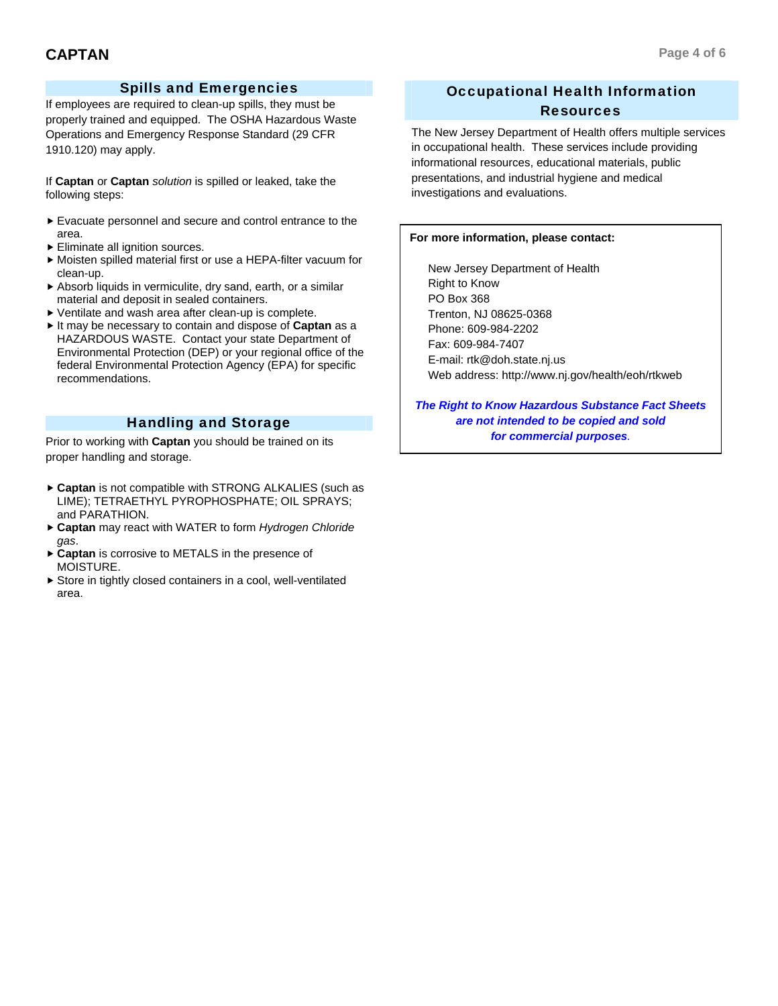## Spills and Emergencies

If employees are required to clean-up spills, they must be properly trained and equipped. The OSHA Hazardous Waste Operations and Emergency Response Standard (29 CFR 1910.120) may apply.

If **Captan** or **Captan** *solution* is spilled or leaked, take the following steps:

- $\blacktriangleright$  Evacuate personnel and secure and control entrance to the area.
- $\blacktriangleright$  Eliminate all ignition sources.
- $\triangleright$  Moisten spilled material first or use a HEPA-filter vacuum for clean-up.
- $\blacktriangleright$  Absorb liquids in vermiculite, dry sand, earth, or a similar material and deposit in sealed containers.
- $\blacktriangleright$  Ventilate and wash area after clean-up is complete.
- It may be necessary to contain and dispose of **Captan** as a HAZARDOUS WASTE. Contact your state Department of Environmental Protection (DEP) or your regional office of the federal Environmental Protection Agency (EPA) for specific recommendations.

## Handling and Storage

Prior to working with **Captan** you should be trained on its proper handling and storage.

- ▶ Captan is not compatible with STRONG ALKALIES (such as LIME); TETRAETHYL PYROPHOSPHATE; OIL SPRAYS; and PARATHION.
- ▶ Captan may react with WATER to form *Hydrogen Chloride gas*.
- **Captan** is corrosive to METALS in the presence of MOISTURE.
- $\triangleright$  Store in tightly closed containers in a cool, well-ventilated area.

## Occupational Health Information Resources

The New Jersey Department of Health offers multiple services in occupational health. These services include providing informational resources, educational materials, public presentations, and industrial hygiene and medical investigations and evaluations.

#### **For more information, please contact:**

 New Jersey Department of Health Right to Know PO Box 368 Trenton, NJ 08625-0368 Phone: 609-984-2202 Fax: 609-984-7407 E-mail: rtk@doh.state.nj.us Web address: http://www.nj.gov/health/eoh/rtkweb

*The Right to Know Hazardous Substance Fact Sheets are not intended to be copied and sold for commercial purposes.*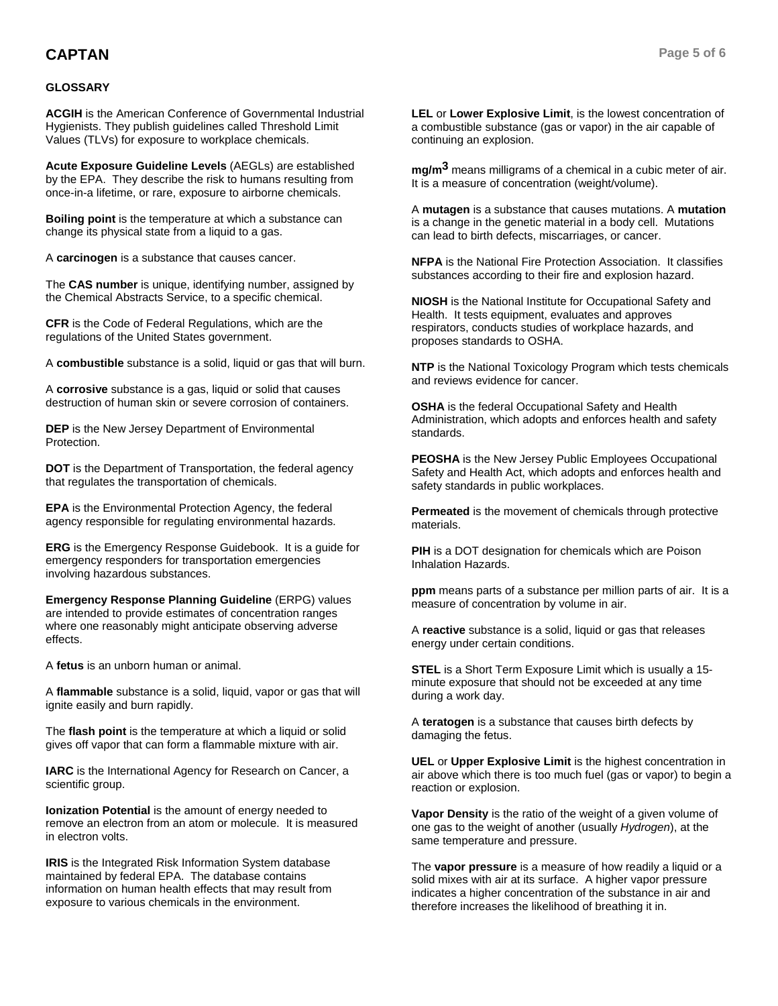#### **GLOSSARY**

**ACGIH** is the American Conference of Governmental Industrial Hygienists. They publish guidelines called Threshold Limit Values (TLVs) for exposure to workplace chemicals.

**Acute Exposure Guideline Levels** (AEGLs) are established by the EPA. They describe the risk to humans resulting from once-in-a lifetime, or rare, exposure to airborne chemicals.

**Boiling point** is the temperature at which a substance can change its physical state from a liquid to a gas.

A **carcinogen** is a substance that causes cancer.

The **CAS number** is unique, identifying number, assigned by the Chemical Abstracts Service, to a specific chemical.

**CFR** is the Code of Federal Regulations, which are the regulations of the United States government.

A **combustible** substance is a solid, liquid or gas that will burn.

A **corrosive** substance is a gas, liquid or solid that causes destruction of human skin or severe corrosion of containers.

**DEP** is the New Jersey Department of Environmental Protection.

**DOT** is the Department of Transportation, the federal agency that regulates the transportation of chemicals.

**EPA** is the Environmental Protection Agency, the federal agency responsible for regulating environmental hazards.

**ERG** is the Emergency Response Guidebook. It is a guide for emergency responders for transportation emergencies involving hazardous substances.

**Emergency Response Planning Guideline** (ERPG) values are intended to provide estimates of concentration ranges where one reasonably might anticipate observing adverse effects.

A **fetus** is an unborn human or animal.

A **flammable** substance is a solid, liquid, vapor or gas that will ignite easily and burn rapidly.

The **flash point** is the temperature at which a liquid or solid gives off vapor that can form a flammable mixture with air.

**IARC** is the International Agency for Research on Cancer, a scientific group.

**Ionization Potential** is the amount of energy needed to remove an electron from an atom or molecule. It is measured in electron volts.

**IRIS** is the Integrated Risk Information System database maintained by federal EPA. The database contains information on human health effects that may result from exposure to various chemicals in the environment.

**LEL** or **Lower Explosive Limit**, is the lowest concentration of a combustible substance (gas or vapor) in the air capable of continuing an explosion.

**mg/m3** means milligrams of a chemical in a cubic meter of air. It is a measure of concentration (weight/volume).

A **mutagen** is a substance that causes mutations. A **mutation** is a change in the genetic material in a body cell. Mutations can lead to birth defects, miscarriages, or cancer.

**NFPA** is the National Fire Protection Association. It classifies substances according to their fire and explosion hazard.

**NIOSH** is the National Institute for Occupational Safety and Health. It tests equipment, evaluates and approves respirators, conducts studies of workplace hazards, and proposes standards to OSHA.

**NTP** is the National Toxicology Program which tests chemicals and reviews evidence for cancer.

**OSHA** is the federal Occupational Safety and Health Administration, which adopts and enforces health and safety standards.

**PEOSHA** is the New Jersey Public Employees Occupational Safety and Health Act, which adopts and enforces health and safety standards in public workplaces.

**Permeated** is the movement of chemicals through protective materials.

**PIH** is a DOT designation for chemicals which are Poison Inhalation Hazards.

**ppm** means parts of a substance per million parts of air. It is a measure of concentration by volume in air.

A **reactive** substance is a solid, liquid or gas that releases energy under certain conditions.

**STEL** is a Short Term Exposure Limit which is usually a 15 minute exposure that should not be exceeded at any time during a work day.

A **teratogen** is a substance that causes birth defects by damaging the fetus.

**UEL** or **Upper Explosive Limit** is the highest concentration in air above which there is too much fuel (gas or vapor) to begin a reaction or explosion.

**Vapor Density** is the ratio of the weight of a given volume of one gas to the weight of another (usually *Hydrogen*), at the same temperature and pressure.

The **vapor pressure** is a measure of how readily a liquid or a solid mixes with air at its surface. A higher vapor pressure indicates a higher concentration of the substance in air and therefore increases the likelihood of breathing it in.